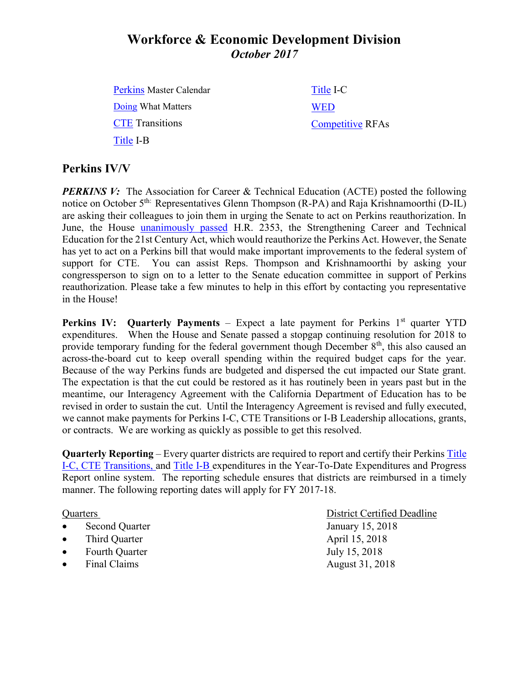# **Workforce & Economic Development Division** *October 2017*

[Perkins](http://extranet.cccco.edu/Divisions/WorkforceandEconDev/CareerEducationPractices/PerkinsIV/PerkinsIVTitleIPartC.aspx) Master Calendar [Doing](http://doingwhatmatters.cccco.edu/) What Matters **[CTE](http://extranet.cccco.edu/Divisions/WorkforceandEconDev/CareerEducationPractices/PerkinsIV/CTETransitions.aspx)** Transitions [Title](http://extranet.cccco.edu/Divisions/WorkforceandEconDev/CareerEducationPractices/PerkinsIV/PerkinsIVTitleIPartB.aspx) I-B [Title](http://extranet.cccco.edu/Divisions/WorkforceandEconDev/CareerEducationPractices/PerkinsIV/PerkinsIVTitleIPartC.aspx) I-C **[WED](http://extranet.cccco.edu/Divisions/WorkforceandEconDev.aspx)** [Competitive](http://extranet.cccco.edu/Divisions/WorkforceandEconDev/WEDDRFAs.aspx) RFAs

### **Perkins IV/V**

*PERKINS V:* The Association for Career & Technical Education (ACTE) posted the following notice on October 5<sup>th:</sup> Representatives Glenn Thompson (R-PA) and Raja Krishnamoorthi (D-IL) are asking their colleagues to join them in urging the Senate to act on Perkins reauthorization. In June, the House [unanimously passed](http://acte.informz.net/z/cjUucD9taT02NDE4MjgwJnA9MSZ1PTc3MTY0Mzc1MyZsaT00NjI0NzU4Nw/index.html) H.R. 2353, the Strengthening Career and Technical Education for the 21st Century Act, which would reauthorize the Perkins Act. However, the Senate has yet to act on a Perkins bill that would make important improvements to the federal system of support for CTE. You can assist Reps. Thompson and Krishnamoorthi by asking your congressperson to sign on to a letter to the Senate education committee in support of Perkins reauthorization. Please take a few minutes to help in this effort by contacting you representative in the House!

**Perkins IV:** Quarterly Payments – Expect a late payment for Perkins 1<sup>st</sup> quarter YTD expenditures. When the House and Senate passed a stopgap continuing resolution for 2018 to provide temporary funding for the federal government though December  $8<sup>th</sup>$ , this also caused an across-the-board cut to keep overall spending within the required budget caps for the year. Because of the way Perkins funds are budgeted and dispersed the cut impacted our State grant. The expectation is that the cut could be restored as it has routinely been in years past but in the meantime, our Interagency Agreement with the California Department of Education has to be revised in order to sustain the cut. Until the Interagency Agreement is revised and fully executed, we cannot make payments for Perkins I-C, CTE Transitions or I-B Leadership allocations, grants, or contracts. We are working as quickly as possible to get this resolved.

**Quarterly Reporting** – Every quarter districts are required to report and certify their Perkins [Title](https://misweb02.cccco.edu/vtea/dba/logon.cfm) I-C, [CTE](https://misweb02.cccco.edu/ctetransitions/prod/logon.cfm) Transitions, and [Title](https://misweb02.cccco.edu/vteaib/prod/logon.cfm) I-B expenditures in the Year-To-Date Expenditures and Progress Report online system. The reporting schedule ensures that districts are reimbursed in a timely manner. The following reporting dates will apply for FY 2017-18.

- Second Quarter January 15, 2018
- Third Quarter April 15, 2018
- Fourth Quarter July 15, 2018
- Final Claims August 31, 2018

Quarters District Certified Deadline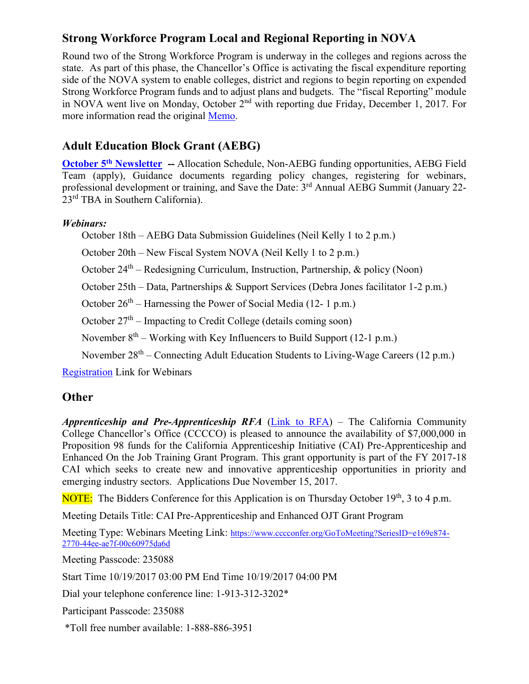## **Strong Workforce Program Local and Regional Reporting in NOVA**

Round two of the Strong Workforce Program is underway in the colleges and regions across the state. As part of this phase, the Chancellor's Office is activating the fiscal expenditure reporting side of the NOVA system to enable colleges, district and regions to begin reporting on expended Strong Workforce Program funds and to adjust plans and budgets. The "fiscal Reporting" module in NOVA went live on Monday, October 2<sup>nd</sup> with reporting due Friday, December 1, 2017. For more information read the original [Memo.](http://extranet.cccco.edu/Portals/1/WED/Memos/Memo%20on%20Nova%2010-02-17%20v3.docx%20(1).pdf)

# **Adult Education Block Grant (AEBG)**

**October 5th [Newsletter](http://myemail.constantcontact.com/More-on-AEBG--Final-AEBG-Allocation-Schedule-and-Approval-to-Spend--AEBG-Webinar-Series-Schedule--Pre-Apprenticeship-and-Enhance.html?soid=1114865855964&aid=4LnFcGG2hGY#laraec) --** Allocation Schedule, Non-AEBG funding opportunities, AEBG Field Team (apply), Guidance documents regarding policy changes, registering for webinars, professional development or training, and Save the Date: 3<sup>rd</sup> Annual AEBG Summit (January 22-23rd TBA in Southern California).

### *Webinars:*

October 18th – AEBG Data Submission Guidelines (Neil Kelly 1 to 2 p.m.)

October 20th – New Fiscal System NOVA (Neil Kelly 1 to 2 p.m.)

October 24<sup>th</sup> – Redesigning Curriculum, Instruction, Partnership, & policy (Noon)

October 25th – Data, Partnerships & Support Services (Debra Jones facilitator 1-2 p.m.)

October  $26<sup>th</sup>$  – Harnessing the Power of Social Media (12-1 p.m.)

October 27<sup>th</sup> – Impacting to Credit College (details coming soon)

November  $8<sup>th</sup>$  – Working with Key Influencers to Build Support (12-1 p.m.)

November 28<sup>th</sup> – Connecting Adult Education Students to Living-Wage Careers (12 p.m.)

[Registration](http://myemail.constantcontact.com/More-on-AEBG--Final-AEBG-Allocation-Schedule-and-Approval-to-Spend--AEBG-Webinar-Series-Schedule--Pre-Apprenticeship-and-Enhance.html?soid=1114865855964&aid=4LnFcGG2hGY#webinar) Link for Webinars

### **Other**

*Apprenticeship and Pre-Apprenticeship RFA* [\(Link to RFA\)](http://extranet.cccco.edu/Divisions/WorkforceandEconDev/WEDDRFAs.aspx) – The California Community College Chancellor's Office (CCCCO) is pleased to announce the availability of \$7,000,000 in Proposition 98 funds for the California Apprenticeship Initiative (CAI) Pre-Apprenticeship and Enhanced On the Job Training Grant Program. This grant opportunity is part of the FY 2017-18 CAI which seeks to create new and innovative apprenticeship opportunities in priority and emerging industry sectors. Applications Due November 15, 2017.

NOTE: The Bidders Conference for this Application is on Thursday October 19<sup>th</sup>, 3 to 4 p.m.

Meeting Details Title: CAI Pre-Apprenticeship and Enhanced OJT Grant Program

Meeting Type: Webinars Meeting Link: [https://www.cccconfer.org/GoToMeeting?SeriesID=e169e874-](https://www.cccconfer.org/GoToMeeting?SeriesID=e169e874-2770-44ee-ae7f-00c60975da6d) [2770-44ee-ae7f-00c60975da6d](https://www.cccconfer.org/GoToMeeting?SeriesID=e169e874-2770-44ee-ae7f-00c60975da6d)

Meeting Passcode: 235088

Start Time 10/19/2017 03:00 PM End Time 10/19/2017 04:00 PM

Dial your telephone conference line: 1-913-312-3202\*

Participant Passcode: 235088

\*Toll free number available: 1-888-886-3951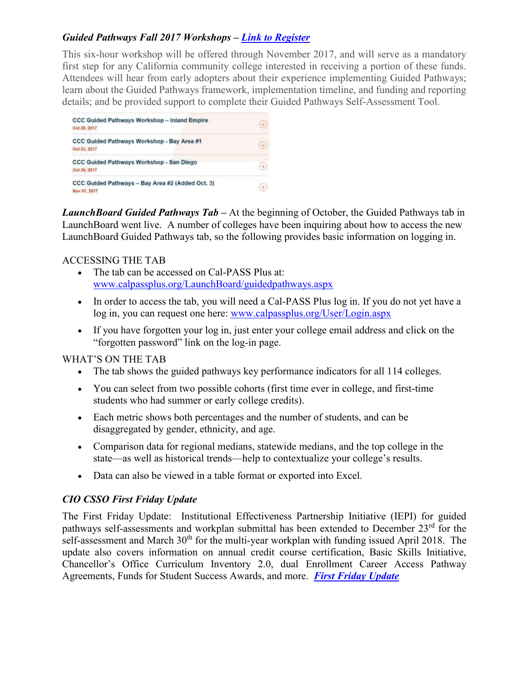### *Guided Pathways Fall 2017 Workshops – [Link to Register](http://iepi.cccco.edu/professional-development)*

This six-hour workshop will be offered through November 2017, and will serve as a mandatory first step for any California community college interested in receiving a portion of these funds. Attendees will hear from early adopters about their experience implementing Guided Pathways; learn about the Guided Pathways framework, implementation timeline, and funding and reporting details; and be provided support to complete their Guided Pathways Self-Assessment Tool.



*LaunchBoard Guided Pathways Tab –* At the beginning of October, the Guided Pathways tab in LaunchBoard went live. A number of colleges have been inquiring about how to access the new LaunchBoard Guided Pathways tab, so the following provides basic information on logging in.

#### ACCESSING THE TAB

- The tab can be accessed on Cal-PASS Plus at: [www.calpassplus.org/LaunchBoard/guidedpathways.aspx](http://www.calpassplus.org/LaunchBoard/guidedpathways.aspx)
- In order to access the tab, you will need a Cal-PASS Plus log in. If you do not yet have a log in, you can request one here: [www.calpassplus.org/User/Login.aspx](http://www.calpassplus.org/User/Login.aspx)
- If you have forgotten your log in, just enter your college email address and click on the "forgotten password" link on the log-in page.

#### WHAT'S ON THE TAB

- The tab shows the guided pathways key performance indicators for all 114 colleges.
- You can select from two possible cohorts (first time ever in college, and first-time students who had summer or early college credits).
- Each metric shows both percentages and the number of students, and can be disaggregated by gender, ethnicity, and age.
- Comparison data for regional medians, statewide medians, and the top college in the state—as well as historical trends—help to contextualize your college's results.
- Data can also be viewed in a table format or exported into Excel.

#### *CIO CSSO First Friday Update*

The First Friday Update: Institutional Effectiveness Partnership Initiative (IEPI) for guided pathways self-assessments and workplan submittal has been extended to December 23<sup>rd</sup> for the self-assessment and March 30<sup>th</sup> for the multi-year workplan with funding issued April 2018. The update also covers information on annual credit course certification, Basic Skills Initiative, Chancellor's Office Curriculum Inventory 2.0, dual Enrollment Career Access Pathway Agreements, Funds for Student Success Awards, and more. *[First Friday Update](http://extranet.cccco.edu/Divisions/AcademicAffairs.aspx)*